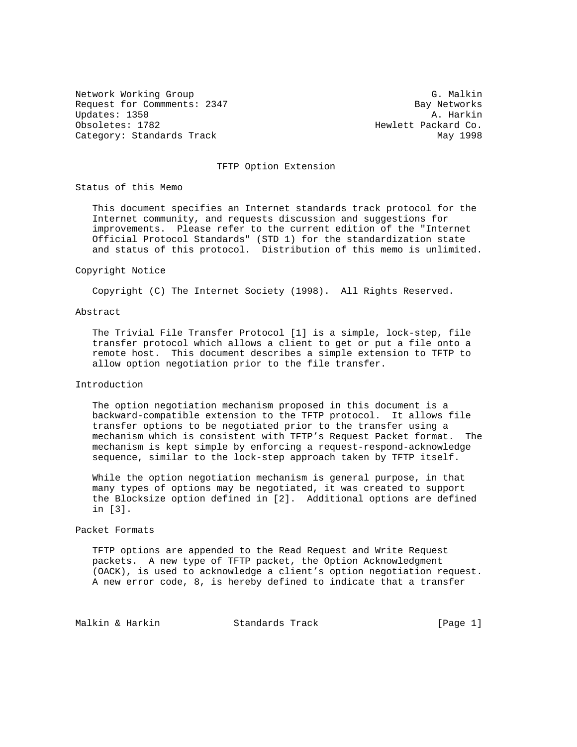Network Working Group G. Malkin G. Malkin Request for Commments: 2347 Bay Networks<br>Updates: 1350 A. Harkin Updates: 1350 Obsoletes: 1782 **Hewlett Packard Co.** Category: Standards Track May 1998

### TFTP Option Extension

Status of this Memo

 This document specifies an Internet standards track protocol for the Internet community, and requests discussion and suggestions for improvements. Please refer to the current edition of the "Internet Official Protocol Standards" (STD 1) for the standardization state and status of this protocol. Distribution of this memo is unlimited.

#### Copyright Notice

Copyright (C) The Internet Society (1998). All Rights Reserved.

### Abstract

 The Trivial File Transfer Protocol [1] is a simple, lock-step, file transfer protocol which allows a client to get or put a file onto a remote host. This document describes a simple extension to TFTP to allow option negotiation prior to the file transfer.

### Introduction

 The option negotiation mechanism proposed in this document is a backward-compatible extension to the TFTP protocol. It allows file transfer options to be negotiated prior to the transfer using a mechanism which is consistent with TFTP's Request Packet format. The mechanism is kept simple by enforcing a request-respond-acknowledge sequence, similar to the lock-step approach taken by TFTP itself.

 While the option negotiation mechanism is general purpose, in that many types of options may be negotiated, it was created to support the Blocksize option defined in [2]. Additional options are defined in [3].

### Packet Formats

 TFTP options are appended to the Read Request and Write Request packets. A new type of TFTP packet, the Option Acknowledgment (OACK), is used to acknowledge a client's option negotiation request. A new error code, 8, is hereby defined to indicate that a transfer

Malkin & Harkin Standards Track [Page 1]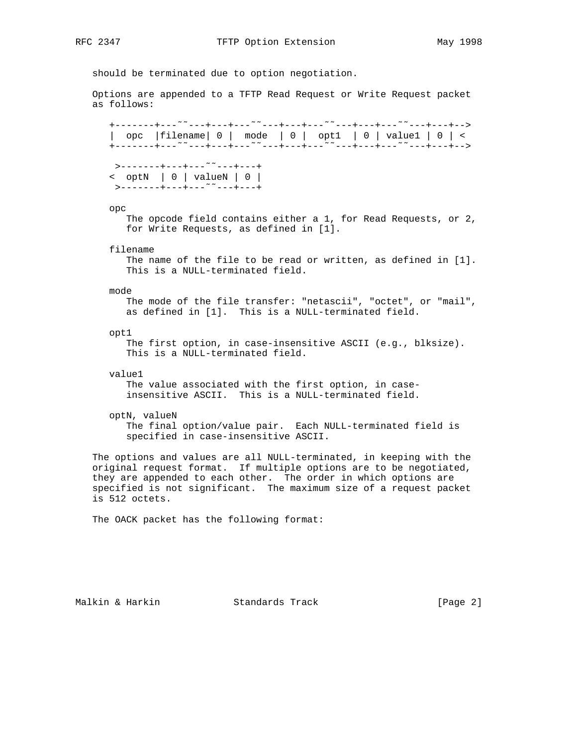should be terminated due to option negotiation.

 Options are appended to a TFTP Read Request or Write Request packet as follows:

 +-------+---˜˜---+---+---˜˜---+---+---˜˜---+---+---˜˜---+---+--> | opc |filename| 0 | mode | 0 | opt1 | 0 | value1 | 0 | < +-------+---˜˜---+---+---˜˜---+---+---˜˜---+---+---˜˜---+---+--> >-------+---+---˜˜---+---+ < optN | 0 | valueN | 0 | >-------+---+---˜˜---+---+ opc The opcode field contains either a 1, for Read Requests, or 2, for Write Requests, as defined in [1]. filename The name of the file to be read or written, as defined in [1]. This is a NULL-terminated field. mode The mode of the file transfer: "netascii", "octet", or "mail", as defined in [1]. This is a NULL-terminated field. opt1 The first option, in case-insensitive ASCII (e.g., blksize). This is a NULL-terminated field. value1 The value associated with the first option, in case insensitive ASCII. This is a NULL-terminated field. optN, valueN The final option/value pair. Each NULL-terminated field is specified in case-insensitive ASCII. The options and values are all NULL-terminated, in keeping with the original request format. If multiple options are to be negotiated, they are appended to each other. The order in which options are

The OACK packet has the following format:

is 512 octets.

Malkin & Harkin Standards Track [Page 2]

specified is not significant. The maximum size of a request packet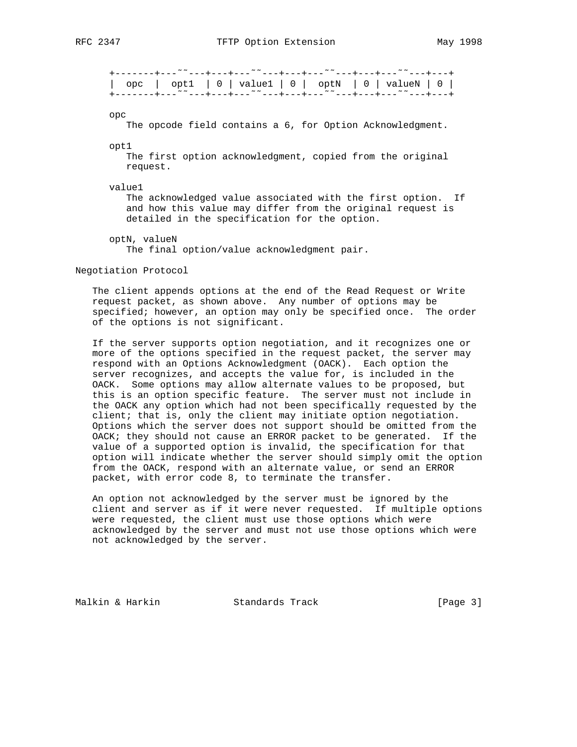+-------+---˜˜---+---+---˜˜---+---+---˜˜---+---+---˜˜---+---+ | opc | opt1 | 0 | value1 | 0 | optN | 0 | valueN | 0 | +-------+---˜˜---+---+---˜˜---+---+---˜˜---+---+---˜˜---+---+

opc

The opcode field contains a 6, for Option Acknowledgment.

opt1

 The first option acknowledgment, copied from the original request.

value1

 The acknowledged value associated with the first option. If and how this value may differ from the original request is detailed in the specification for the option.

 optN, valueN The final option/value acknowledgment pair.

Negotiation Protocol

 The client appends options at the end of the Read Request or Write request packet, as shown above. Any number of options may be specified; however, an option may only be specified once. The order of the options is not significant.

 If the server supports option negotiation, and it recognizes one or more of the options specified in the request packet, the server may respond with an Options Acknowledgment (OACK). Each option the server recognizes, and accepts the value for, is included in the OACK. Some options may allow alternate values to be proposed, but this is an option specific feature. The server must not include in the OACK any option which had not been specifically requested by the client; that is, only the client may initiate option negotiation. Options which the server does not support should be omitted from the OACK; they should not cause an ERROR packet to be generated. If the value of a supported option is invalid, the specification for that option will indicate whether the server should simply omit the option from the OACK, respond with an alternate value, or send an ERROR packet, with error code 8, to terminate the transfer.

 An option not acknowledged by the server must be ignored by the client and server as if it were never requested. If multiple options were requested, the client must use those options which were acknowledged by the server and must not use those options which were not acknowledged by the server.

Malkin & Harkin Standards Track [Page 3]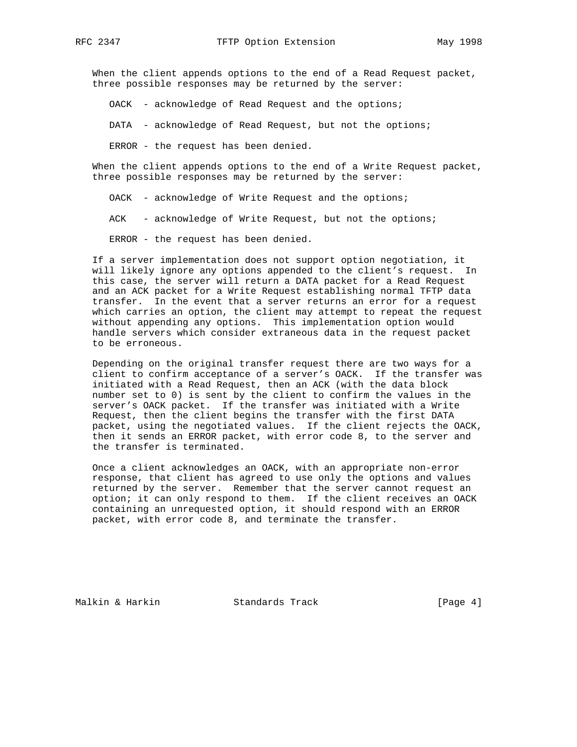When the client appends options to the end of a Read Request packet, three possible responses may be returned by the server:

OACK - acknowledge of Read Request and the options;

DATA - acknowledge of Read Request, but not the options;

ERROR - the request has been denied.

 When the client appends options to the end of a Write Request packet, three possible responses may be returned by the server:

OACK - acknowledge of Write Request and the options;

ACK - acknowledge of Write Request, but not the options;

ERROR - the request has been denied.

 If a server implementation does not support option negotiation, it will likely ignore any options appended to the client's request. In this case, the server will return a DATA packet for a Read Request and an ACK packet for a Write Request establishing normal TFTP data transfer. In the event that a server returns an error for a request which carries an option, the client may attempt to repeat the request without appending any options. This implementation option would handle servers which consider extraneous data in the request packet to be erroneous.

 Depending on the original transfer request there are two ways for a client to confirm acceptance of a server's OACK. If the transfer was initiated with a Read Request, then an ACK (with the data block number set to 0) is sent by the client to confirm the values in the server's OACK packet. If the transfer was initiated with a Write Request, then the client begins the transfer with the first DATA packet, using the negotiated values. If the client rejects the OACK, then it sends an ERROR packet, with error code 8, to the server and the transfer is terminated.

 Once a client acknowledges an OACK, with an appropriate non-error response, that client has agreed to use only the options and values returned by the server. Remember that the server cannot request an option; it can only respond to them. If the client receives an OACK containing an unrequested option, it should respond with an ERROR packet, with error code 8, and terminate the transfer.

Malkin & Harkin Standards Track [Page 4]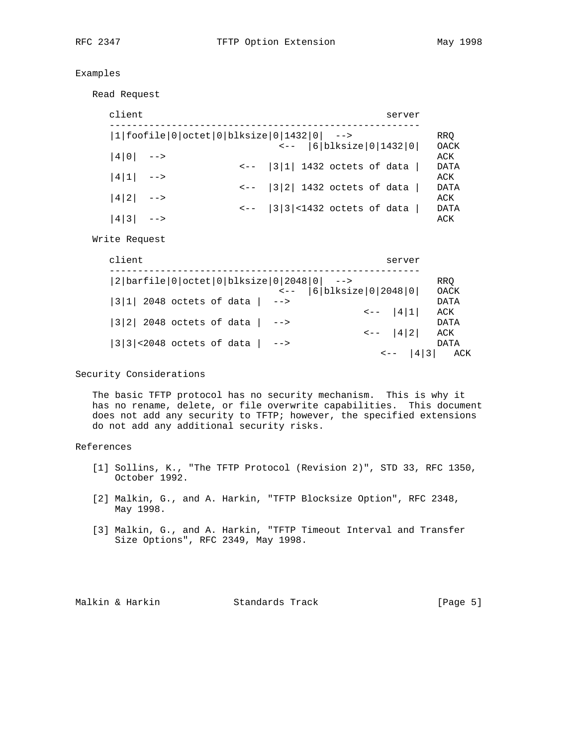# Examples

Read Request

| client      |  | server                                                                         |                    |
|-------------|--|--------------------------------------------------------------------------------|--------------------|
|             |  | ---------<br> 1 foofile 0 octet 0 blksize 0 1432 0  --><br> 6 blksize 0 1432 0 | <b>RRQ</b>         |
| $ 4 0 $ --> |  |                                                                                | OACK<br>ACK        |
| $ 4 1 $ --> |  | $\leftarrow -$  3 1  1432 octets of data                                       | <b>DATA</b><br>ACK |
| $ 4 2 $ --> |  | $\leftarrow -$   3   2   1432 octets of data                                   | DATA<br>ACK        |
| $ 4 3 $ --> |  | $\left 3\right 3\left 3\right $ <1432 octets of data                           | <b>DATA</b><br>ACK |

Write Request

| client                                |                                                                                                                      | server                                     |
|---------------------------------------|----------------------------------------------------------------------------------------------------------------------|--------------------------------------------|
|                                       | $ 2 \text{barfile} 0 \text{octet} 0 \text{blksize} 0 2048 0 $ --><br>$\left  6   5   1   10   2048   0   10 \right $ | RRO<br>OACK                                |
| $ 3 1 $ 2048 octets of data           | $--$                                                                                                                 | DATA<br>$\left  4 \right  1$<br>ACK        |
| $ 3 2 $ 2048 octets of data $ $ -->   |                                                                                                                      | DATA<br>$\left  4 \right  2$<br>ACK        |
| $ 3 3 $ < 2048 octets of data $ $ --> |                                                                                                                      | <b>DATA</b><br>$\left  4 \right  3$<br>ACK |

# Security Considerations

 The basic TFTP protocol has no security mechanism. This is why it has no rename, delete, or file overwrite capabilities. This document does not add any security to TFTP; however, the specified extensions do not add any additional security risks.

## References

- [1] Sollins, K., "The TFTP Protocol (Revision 2)", STD 33, RFC 1350, October 1992.
- [2] Malkin, G., and A. Harkin, "TFTP Blocksize Option", RFC 2348, May 1998.
- [3] Malkin, G., and A. Harkin, "TFTP Timeout Interval and Transfer Size Options", RFC 2349, May 1998.

Malkin & Harkin Standards Track [Page 5]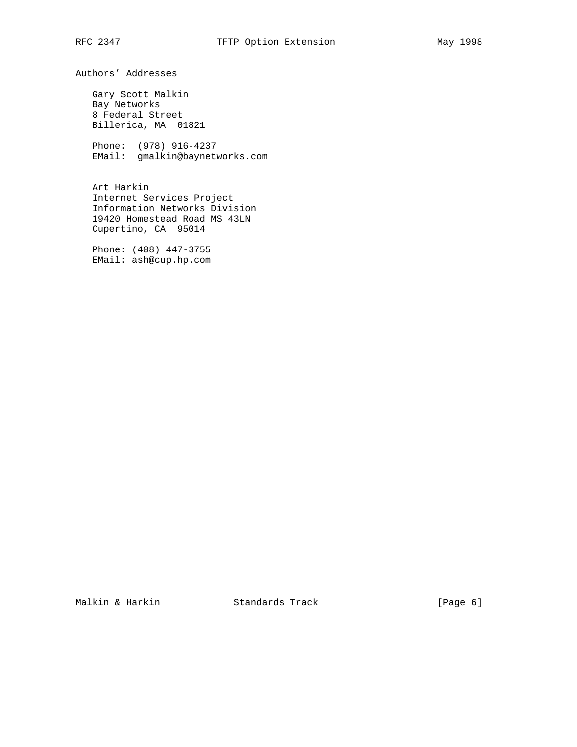Authors' Addresses

 Gary Scott Malkin Bay Networks 8 Federal Street Billerica, MA 01821

 Phone: (978) 916-4237 EMail: gmalkin@baynetworks.com

 Art Harkin Internet Services Project Information Networks Division 19420 Homestead Road MS 43LN Cupertino, CA 95014

 Phone: (408) 447-3755 EMail: ash@cup.hp.com

Malkin & Harkin Standards Track [Page 6]